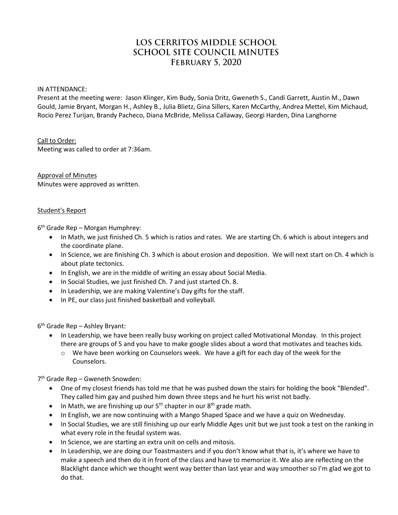# LOS CERRITOS MIDDLE SCHOOL **SCHOOL SITE COUNCIL MINUTES FEBRUARY 5, 2020**

#### IN ATTENDANCE:

Present at the meeting were: Jason Klinger, Kim Budy, Sonia Dritz, Gweneth S., Candi Garrett, Austin M., Dawn Gould, Jamie Bryant, Morgan H., Ashley B., Julia Blietz, Gina Sillers, Karen McCarthy, Andrea Mettel, Kim Michaud, Rocio Perez Turijan, Brandy Pacheco, Diana McBride, Melissa Callaway, Georgi Harden, Dina Langhorne

### Call to Order:

Meeting was called to order at 7:36am.

Approval of Minutes Minutes were approved as written.

#### Student's Report

6 th Grade Rep – Morgan Humphrey:

- In Math, we just finished Ch. 5 which is ratios and rates. We are starting Ch. 6 which is about integers and the coordinate plane.
- In Science, we are finishing Ch. 3 which is about erosion and deposition. We will next start on Ch. 4 which is about plate tectonics.
- In English, we are in the middle of writing an essay about Social Media.
- In Social Studies, we just finished Ch. 7 and just started Ch. 8.
- In Leadership, we are making Valentine's Day gifts for the staff.
- In PE, our class just finished basketball and volleyball.

6 th Grade Rep – Ashley Bryant:

- In Leadership, we have been really busy working on project called Motivational Monday. In this project there are groups of 5 and you have to make google slides about a word that motivates and teaches kids.
	- $\circ$  We have been working on Counselors week. We have a gift for each day of the week for the Counselors.

7 th Grade Rep – Gweneth Snowden:

- One of my closest friends has told me that he was pushed down the stairs for holding the book "Blended". They called him gay and pushed him down three steps and he hurt his wrist not badly.
- $\bullet$  In Math, we are finishing up our 5<sup>th</sup> chapter in our 8<sup>th</sup> grade math.
- In English, we are now continuing with a Mango Shaped Space and we have a quiz on Wednesday.
- In Social Studies, we are still finishing up our early Middle Ages unit but we just took a test on the ranking in what every role in the feudal system was.
- In Science, we are starting an extra unit on cells and mitosis.
- In Leadership, we are doing our Toastmasters and if you don't know what that is, it's where we have to make a speech and then do it in front of the class and have to memorize it. We also are reflecting on the Blacklight dance which we thought went way better than last year and way smoother so I'm glad we got to do that.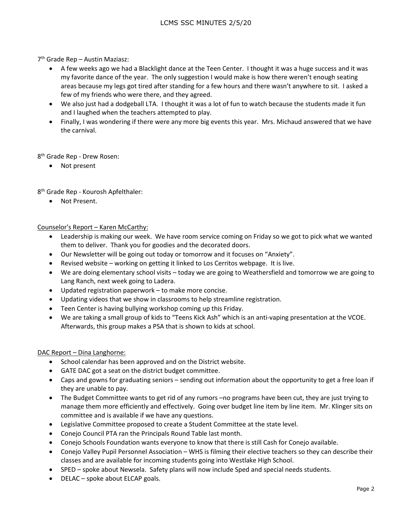# 7 th Grade Rep – Austin Maziasz:

- A few weeks ago we had a Blacklight dance at the Teen Center. I thought it was a huge success and it was my favorite dance of the year. The only suggestion I would make is how there weren't enough seating areas because my legs got tired after standing for a few hours and there wasn't anywhere to sit. I asked a few of my friends who were there, and they agreed.
- We also just had a dodgeball LTA. I thought it was a lot of fun to watch because the students made it fun and I laughed when the teachers attempted to play.
- Finally, I was wondering if there were any more big events this year. Mrs. Michaud answered that we have the carnival.

8<sup>th</sup> Grade Rep - Drew Rosen:

• Not present

8<sup>th</sup> Grade Rep - Kourosh Apfelthaler:

Not Present.

# Counselor's Report – Karen McCarthy:

- Leadership is making our week. We have room service coming on Friday so we got to pick what we wanted them to deliver. Thank you for goodies and the decorated doors.
- Our Newsletter will be going out today or tomorrow and it focuses on "Anxiety".
- Revised website working on getting it linked to Los Cerritos webpage. It is live.
- We are doing elementary school visits today we are going to Weathersfield and tomorrow we are going to Lang Ranch, next week going to Ladera.
- Updated registration paperwork to make more concise.
- Updating videos that we show in classrooms to help streamline registration.
- Teen Center is having bullying workshop coming up this Friday.
- We are taking a small group of kids to "Teens Kick Ash" which is an anti-vaping presentation at the VCOE. Afterwards, this group makes a PSA that is shown to kids at school.

### DAC Report – Dina Langhorne:

- School calendar has been approved and on the District website.
- GATE DAC got a seat on the district budget committee.
- Caps and gowns for graduating seniors sending out information about the opportunity to get a free loan if they are unable to pay.
- The Budget Committee wants to get rid of any rumors –no programs have been cut, they are just trying to manage them more efficiently and effectively. Going over budget line item by line item. Mr. Klinger sits on committee and is available if we have any questions.
- Legislative Committee proposed to create a Student Committee at the state level.
- Conejo Council PTA ran the Principals Round Table last month.
- Conejo Schools Foundation wants everyone to know that there is still Cash for Conejo available.
- Conejo Valley Pupil Personnel Association WHS is filming their elective teachers so they can describe their classes and are available for incoming students going into Westlake High School.
- SPED spoke about Newsela. Safety plans will now include Sped and special needs students.
- DELAC spoke about ELCAP goals.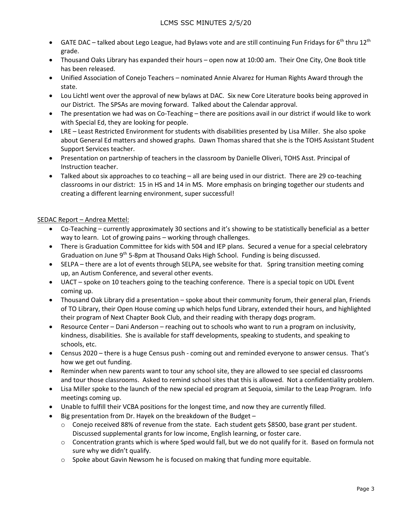- GATE DAC talked about Lego League, had Bylaws vote and are still continuing Fun Fridays for 6<sup>th</sup> thru 12<sup>th</sup> grade.
- Thousand Oaks Library has expanded their hours open now at 10:00 am. Their One City, One Book title has been released.
- Unified Association of Conejo Teachers nominated Annie Alvarez for Human Rights Award through the state.
- Lou Lichtl went over the approval of new bylaws at DAC. Six new Core Literature books being approved in our District. The SPSAs are moving forward. Talked about the Calendar approval.
- The presentation we had was on Co-Teaching there are positions avail in our district if would like to work with Special Ed, they are looking for people.
- LRE Least Restricted Environment for students with disabilities presented by Lisa Miller. She also spoke about General Ed matters and showed graphs. Dawn Thomas shared that she is the TOHS Assistant Student Support Services teacher.
- Presentation on partnership of teachers in the classroom by Danielle Oliveri, TOHS Asst. Principal of Instruction teacher.
- Talked about six approaches to co teaching all are being used in our district. There are 29 co-teaching classrooms in our district: 15 in HS and 14 in MS. More emphasis on bringing together our students and creating a different learning environment, super successful!

# SEDAC Report – Andrea Mettel:

- Co-Teaching currently approximately 30 sections and it's showing to be statistically beneficial as a better way to learn. Lot of growing pains – working through challenges.
- There is Graduation Committee for kids with 504 and IEP plans. Secured a venue for a special celebratory Graduation on June  $9<sup>th</sup>$  5-8pm at Thousand Oaks High School. Funding is being discussed.
- SELPA there are a lot of events through SELPA, see website for that. Spring transition meeting coming up, an Autism Conference, and several other events.
- UACT spoke on 10 teachers going to the teaching conference. There is a special topic on UDL Event coming up.
- Thousand Oak Library did a presentation spoke about their community forum, their general plan, Friends of TO Library, their Open House coming up which helps fund Library, extended their hours, and highlighted their program of Next Chapter Book Club, and their reading with therapy dogs program.
- Resource Center Dani Anderson reaching out to schools who want to run a program on inclusivity, kindness, disabilities. She is available for staff developments, speaking to students, and speaking to schools, etc.
- Census 2020 there is a huge Census push coming out and reminded everyone to answer census. That's how we get out funding.
- Reminder when new parents want to tour any school site, they are allowed to see special ed classrooms and tour those classrooms. Asked to remind school sites that this is allowed. Not a confidentiality problem.
- Lisa Miller spoke to the launch of the new special ed program at Sequoia, similar to the Leap Program. Info meetings coming up.
- Unable to fulfill their VCBA positions for the longest time, and now they are currently filled.
- $\bullet$  Big presentation from Dr. Hayek on the breakdown of the Budget
	- o Conejo received 88% of revenue from the state. Each student gets \$8500, base grant per student. Discussed supplemental grants for low income, English learning, or foster care.
	- $\circ$  Concentration grants which is where Sped would fall, but we do not qualify for it. Based on formula not sure why we didn't qualify.
	- $\circ$  Spoke about Gavin Newsom he is focused on making that funding more equitable.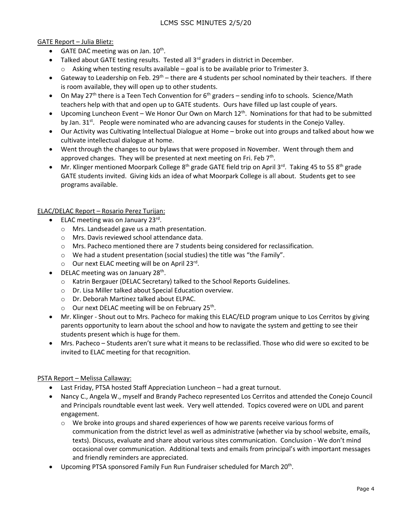# GATE Report – Julia Blietz:

- GATE DAC meeting was on Jan.  $10^{th}$ .
- Talked about GATE testing results. Tested all  $3<sup>rd</sup>$  graders in district in December.
	- $\circ$  Asking when testing results available goal is to be available prior to Trimester 3.
- Gateway to Leadership on Feb.  $29^{th}$  there are 4 students per school nominated by their teachers. If there is room available, they will open up to other students.
- On May 27<sup>th</sup> there is a Teen Tech Convention for 6<sup>th</sup> graders sending info to schools. Science/Math teachers help with that and open up to GATE students. Ours have filled up last couple of years.
- Upcoming Luncheon Event We Honor Our Own on March  $12<sup>th</sup>$ . Nominations for that had to be submitted by Jan. 31<sup>st</sup>. People were nominated who are advancing causes for students in the Conejo Valley.
- Our Activity was Cultivating Intellectual Dialogue at Home broke out into groups and talked about how we cultivate intellectual dialogue at home.
- Went through the changes to our bylaws that were proposed in November. Went through them and approved changes. They will be presented at next meeting on Fri. Feb 7<sup>th</sup>.
- Mr. Klinger mentioned Moorpark College 8<sup>th</sup> grade GATE field trip on April 3<sup>rd</sup>. Taking 45 to 55 8<sup>th</sup> grade GATE students invited. Giving kids an idea of what Moorpark College is all about. Students get to see programs available.

# ELAC/DELAC Report – Rosario Perez Turijan:

- ELAC meeting was on January 23rd.
	- o Mrs. Landseadel gave us a math presentation.
	- o Mrs. Davis reviewed school attendance data.
	- o Mrs. Pacheco mentioned there are 7 students being considered for reclassification.
	- o We had a student presentation (social studies) the title was "the Family".
	- o Our next ELAC meeting will be on April 23rd.
- DELAC meeting was on January 28<sup>th</sup>.
	- o Katrin Bergauer (DELAC Secretary) talked to the School Reports Guidelines.
	- o Dr. Lisa Miller talked about Special Education overview.
	- o Dr. Deborah Martinez talked about ELPAC.
	- o Our next DELAC meeting will be on February 25<sup>th</sup>.
- Mr. Klinger Shout out to Mrs. Pacheco for making this ELAC/ELD program unique to Los Cerritos by giving parents opportunity to learn about the school and how to navigate the system and getting to see their students present which is huge for them.
- Mrs. Pacheco Students aren't sure what it means to be reclassified. Those who did were so excited to be invited to ELAC meeting for that recognition.

### PSTA Report – Melissa Callaway:

- Last Friday, PTSA hosted Staff Appreciation Luncheon had a great turnout.
- Nancy C., Angela W., myself and Brandy Pacheco represented Los Cerritos and attended the Conejo Council and Principals roundtable event last week. Very well attended. Topics covered were on UDL and parent engagement.
	- $\circ$  We broke into groups and shared experiences of how we parents receive various forms of communication from the district level as well as administrative (whether via by school website, emails, texts). Discuss, evaluate and share about various sites communication. Conclusion - We don't mind occasional over communication. Additional texts and emails from principal's with important messages and friendly reminders are appreciated.
- Upcoming PTSA sponsored Family Fun Run Fundraiser scheduled for March 20<sup>th</sup>.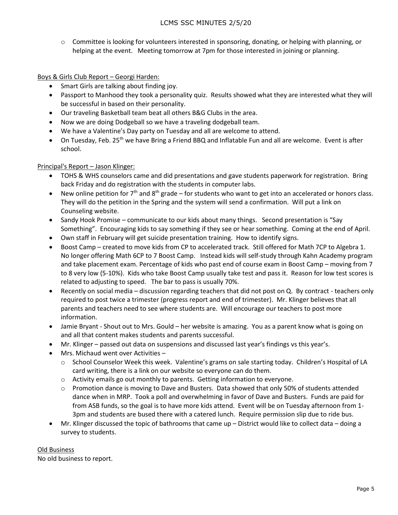o Committee is looking for volunteers interested in sponsoring, donating, or helping with planning, or helping at the event. Meeting tomorrow at 7pm for those interested in joining or planning.

# Boys & Girls Club Report – Georgi Harden:

- Smart Girls are talking about finding joy.
- Passport to Manhood they took a personality quiz. Results showed what they are interested what they will be successful in based on their personality.
- Our traveling Basketball team beat all others B&G Clubs in the area.
- Now we are doing Dodgeball so we have a traveling dodgeball team.
- We have a Valentine's Day party on Tuesday and all are welcome to attend.
- $\bullet$  On Tuesday, Feb. 25<sup>th</sup> we have Bring a Friend BBQ and Inflatable Fun and all are welcome. Event is after school.

# Principal's Report – Jason Klinger:

- TOHS & WHS counselors came and did presentations and gave students paperwork for registration. Bring back Friday and do registration with the students in computer labs.
- New online petition for  $7<sup>th</sup>$  and  $8<sup>th</sup>$  grade for students who want to get into an accelerated or honors class. They will do the petition in the Spring and the system will send a confirmation. Will put a link on Counseling website.
- Sandy Hook Promise communicate to our kids about many things. Second presentation is "Say Something". Encouraging kids to say something if they see or hear something. Coming at the end of April.
- Own staff in February will get suicide presentation training. How to identify signs.
- Boost Camp created to move kids from CP to accelerated track. Still offered for Math 7CP to Algebra 1. No longer offering Math 6CP to 7 Boost Camp. Instead kids will self-study through Kahn Academy program and take placement exam. Percentage of kids who past end of course exam in Boost Camp – moving from 7 to 8 very low (5-10%). Kids who take Boost Camp usually take test and pass it. Reason for low test scores is related to adjusting to speed. The bar to pass is usually 70%.
- Recently on social media discussion regarding teachers that did not post on Q. By contract teachers only required to post twice a trimester (progress report and end of trimester). Mr. Klinger believes that all parents and teachers need to see where students are. Will encourage our teachers to post more information.
- Jamie Bryant Shout out to Mrs. Gould her website is amazing. You as a parent know what is going on and all that content makes students and parents successful.
- Mr. Klinger passed out data on suspensions and discussed last year's findings vs this year's.
- Mrs. Michaud went over Activities
	- o School Counselor Week this week. Valentine's grams on sale starting today. Children's Hospital of LA card writing, there is a link on our website so everyone can do them.
	- o Activity emails go out monthly to parents. Getting information to everyone.
	- o Promotion dance is moving to Dave and Busters. Data showed that only 50% of students attended dance when in MRP. Took a poll and overwhelming in favor of Dave and Busters. Funds are paid for from ASB funds, so the goal is to have more kids attend. Event will be on Tuesday afternoon from 1- 3pm and students are bused there with a catered lunch. Require permission slip due to ride bus.
- Mr. Klinger discussed the topic of bathrooms that came up District would like to collect data doing a survey to students.

### Old Business

No old business to report.